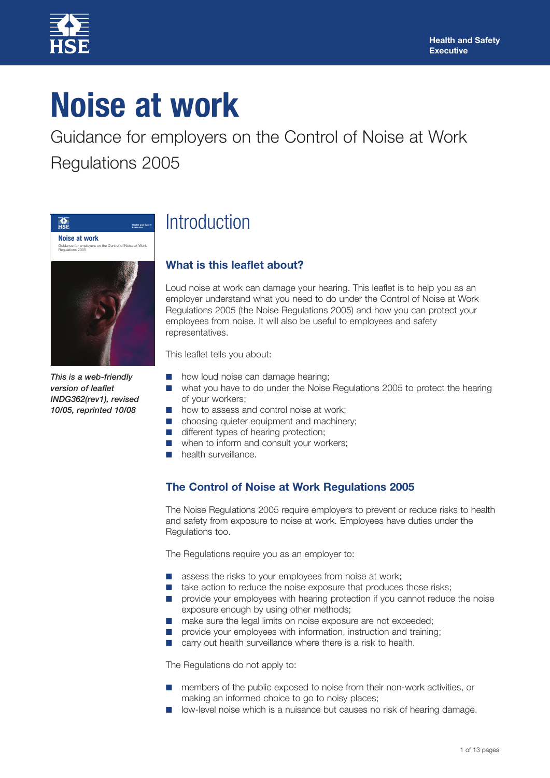

# **Noise at work**

Guidance for employers on the Control of Noise at Work Regulations 2005



*This is a web-friendly version of leaflet INDG362(rev1), revised 10/05, reprinted 10/08*

## Introduction

### **What is this leaflet about?**

Loud noise at work can damage your hearing. This leaflet is to help you as an employer understand what you need to do under the Control of Noise at Work Regulations 2005 (the Noise Regulations 2005) and how you can protect your employees from noise. It will also be useful to employees and safety representatives.

This leaflet tells you about:

- how loud noise can damage hearing;
- what you have to do under the Noise Regulations 2005 to protect the hearing of your workers;
- how to assess and control noise at work;
- choosing quieter equipment and machinery;
- different types of hearing protection;
- when to inform and consult your workers;
- **■** health surveillance.

### **The Control of Noise at Work Regulations 2005**

The Noise Regulations 2005 require employers to prevent or reduce risks to health and safety from exposure to noise at work. Employees have duties under the Regulations too.

The Regulations require you as an employer to:

- assess the risks to your employees from noise at work;
- take action to reduce the noise exposure that produces those risks;
- **■** provide your employees with hearing protection if you cannot reduce the noise exposure enough by using other methods;
- make sure the legal limits on noise exposure are not exceeded;
- provide your employees with information, instruction and training;
- carry out health surveillance where there is a risk to health.

The Regulations do not apply to:

- members of the public exposed to noise from their non-work activities, or making an informed choice to go to noisy places;
- low-level noise which is a nuisance but causes no risk of hearing damage.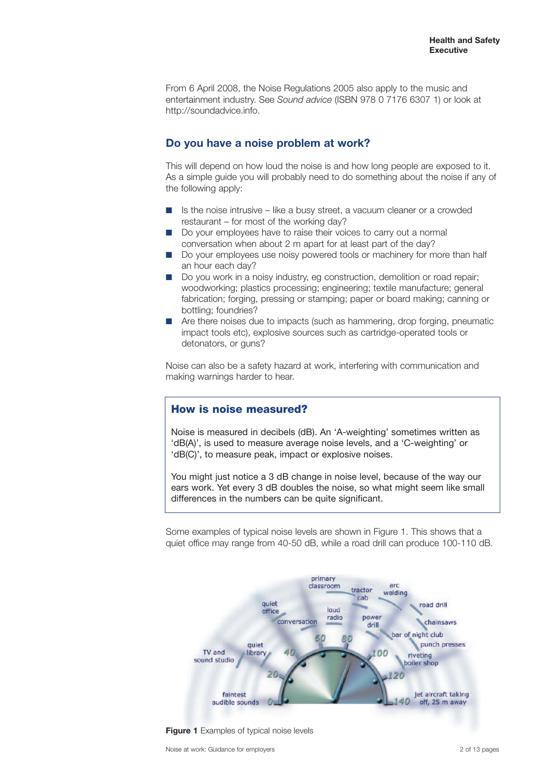From 6 April 2008, the Noise Regulations 2005 also apply to the music and entertainment industry. See *Sound advice* (ISBN 978 0 7176 6307 1) or look at http://soundadvice.info.

#### **Do you have a noise problem at work?**

This will depend on how loud the noise is and how long people are exposed to it. As a simple guide you will probably need to do something about the noise if any of the following apply:

- Is the noise intrusive like a busy street, a vacuum cleaner or a crowded restaurant – for most of the working day?
- **■** Do your employees have to raise their voices to carry out a normal conversation when about 2 m apart for at least part of the day?
- **■** Do your employees use noisy powered tools or machinery for more than half an hour each day?
- Do you work in a noisy industry, eg construction, demolition or road repair; woodworking; plastics processing; engineering; textile manufacture; general fabrication; forging, pressing or stamping; paper or board making; canning or bottling; foundries?
- Are there noises due to impacts (such as hammering, drop forging, pneumatic impact tools etc), explosive sources such as cartridge-operated tools or detonators, or guns?

Noise can also be a safety hazard at work, interfering with communication and making warnings harder to hear.

#### **How is noise measured?**

Noise is measured in decibels (dB). An 'A-weighting' sometimes written as 'dB(A)', is used to measure average noise levels, and a 'C-weighting' or 'dB(C)', to measure peak, impact or explosive noises.

You might just notice a 3 dB change in noise level, because of the way our ears work. Yet every 3 dB doubles the noise, so what might seem like small differences in the numbers can be quite significant.

Some examples of typical noise levels are shown in Figure 1. This shows that a quiet office may range from 40-50 dB, while a road drill can produce 100-110 dB.



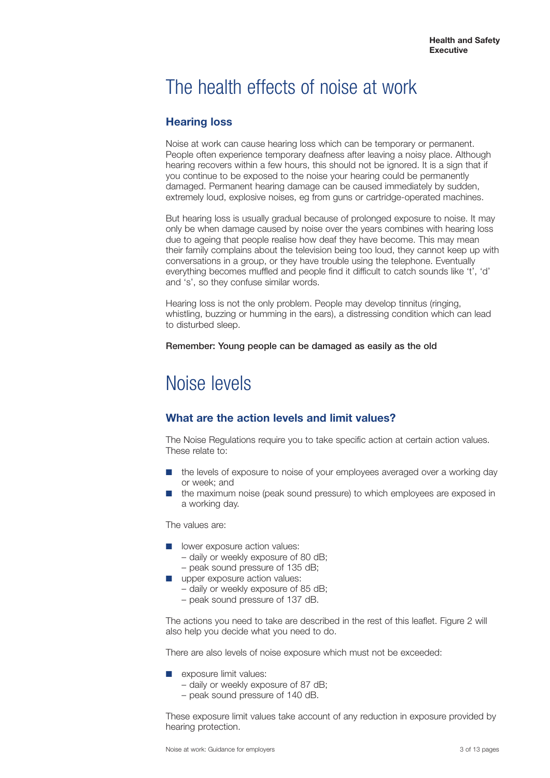### The health effects of noise at work

### **Hearing loss**

Noise at work can cause hearing loss which can be temporary or permanent. People often experience temporary deafness after leaving a noisy place. Although hearing recovers within a few hours, this should not be ignored. It is a sign that if you continue to be exposed to the noise your hearing could be permanently damaged. Permanent hearing damage can be caused immediately by sudden, extremely loud, explosive noises, eg from guns or cartridge-operated machines.

But hearing loss is usually gradual because of prolonged exposure to noise. It may only be when damage caused by noise over the years combines with hearing loss due to ageing that people realise how deaf they have become. This may mean their family complains about the television being too loud, they cannot keep up with conversations in a group, or they have trouble using the telephone. Eventually everything becomes muffled and people find it difficult to catch sounds like 't', 'd' and 's', so they confuse similar words.

Hearing loss is not the only problem. People may develop tinnitus (ringing, whistling, buzzing or humming in the ears), a distressing condition which can lead to disturbed sleep.

#### **Remember: Young people can be damaged as easily as the old**

### Noise levels

### **What are the action levels and limit values?**

The Noise Regulations require you to take specific action at certain action values. These relate to:

- the levels of exposure to noise of your employees averaged over a working day or week; and
- **■** the maximum noise (peak sound pressure) to which employees are exposed in a working day.

The values are:

- lower exposure action values:
	- daily or weekly exposure of 80 dB;
	- peak sound pressure of 135 dB;
- upper exposure action values:
	- daily or weekly exposure of 85 dB;
	- peak sound pressure of 137 dB.

The actions you need to take are described in the rest of this leaflet. Figure 2 will also help you decide what you need to do.

There are also levels of noise exposure which must not be exceeded:

- **■** exposure limit values:
	- daily or weekly exposure of 87 dB;
	- peak sound pressure of 140 dB.

These exposure limit values take account of any reduction in exposure provided by hearing protection.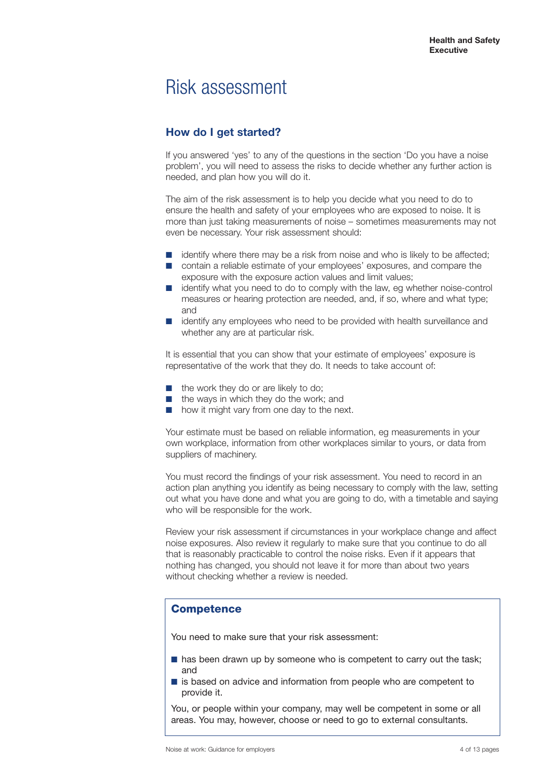### Risk assessment

### **How do I get started?**

If you answered 'yes' to any of the questions in the section 'Do you have a noise problem', you will need to assess the risks to decide whether any further action is needed, and plan how you will do it.

The aim of the risk assessment is to help you decide what you need to do to ensure the health and safety of your employees who are exposed to noise. It is more than just taking measurements of noise – sometimes measurements may not even be necessary. Your risk assessment should:

- **■** identify where there may be a risk from noise and who is likely to be affected;
- contain a reliable estimate of your employees' exposures, and compare the exposure with the exposure action values and limit values;
- identify what you need to do to comply with the law, eg whether noise-control measures or hearing protection are needed, and, if so, where and what type; and
- **identify any employees who need to be provided with health surveillance and** whether any are at particular risk.

It is essential that you can show that your estimate of employees' exposure is representative of the work that they do. It needs to take account of:

- the work they do or are likely to do;
- the ways in which they do the work; and
- how it might vary from one day to the next.

Your estimate must be based on reliable information, eg measurements in your own workplace, information from other workplaces similar to yours, or data from suppliers of machinery.

You must record the findings of your risk assessment. You need to record in an action plan anything you identify as being necessary to comply with the law, setting out what you have done and what you are going to do, with a timetable and saying who will be responsible for the work.

Review your risk assessment if circumstances in your workplace change and affect noise exposures. Also review it regularly to make sure that you continue to do all that is reasonably practicable to control the noise risks. Even if it appears that nothing has changed, you should not leave it for more than about two years without checking whether a review is needed.

### **Competence**

You need to make sure that your risk assessment:

- has been drawn up by someone who is competent to carry out the task: and
- is based on advice and information from people who are competent to provide it.

You, or people within your company, may well be competent in some or all areas. You may, however, choose or need to go to external consultants.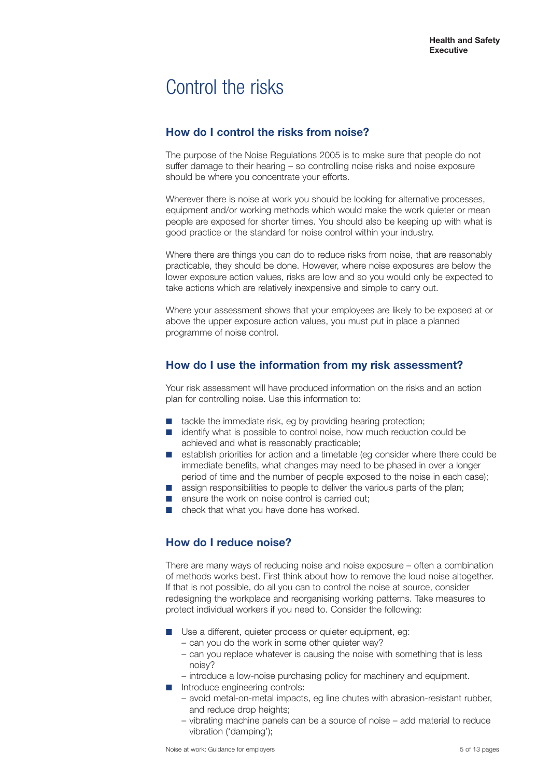### Control the risks

### **How do I control the risks from noise?**

The purpose of the Noise Regulations 2005 is to make sure that people do not suffer damage to their hearing – so controlling noise risks and noise exposure should be where you concentrate your efforts.

Wherever there is noise at work you should be looking for alternative processes, equipment and/or working methods which would make the work quieter or mean people are exposed for shorter times. You should also be keeping up with what is good practice or the standard for noise control within your industry.

Where there are things you can do to reduce risks from noise, that are reasonably practicable, they should be done. However, where noise exposures are below the lower exposure action values, risks are low and so you would only be expected to take actions which are relatively inexpensive and simple to carry out.

Where your assessment shows that your employees are likely to be exposed at or above the upper exposure action values, you must put in place a planned programme of noise control.

### **How do I use the information from my risk assessment?**

Your risk assessment will have produced information on the risks and an action plan for controlling noise. Use this information to:

- tackle the immediate risk, eg by providing hearing protection;
- **identify what is possible to control noise, how much reduction could be** achieved and what is reasonably practicable;
- establish priorities for action and a timetable (eg consider where there could be immediate benefits, what changes may need to be phased in over a longer period of time and the number of people exposed to the noise in each case);
- assign responsibilities to people to deliver the various parts of the plan;
- ensure the work on noise control is carried out;
- check that what you have done has worked.

### **How do I reduce noise?**

There are many ways of reducing noise and noise exposure – often a combination of methods works best. First think about how to remove the loud noise altogether. If that is not possible, do all you can to control the noise at source, consider redesigning the workplace and reorganising working patterns. Take measures to protect individual workers if you need to. Consider the following:

- Use a different, quieter process or quieter equipment, eg: – can you do the work in some other quieter way?
	- can you replace whatever is causing the noise with something that is less noisy?
	- introduce a low-noise purchasing policy for machinery and equipment.
- Introduce engineering controls:
	- avoid metal-on-metal impacts, eg line chutes with abrasion-resistant rubber, and reduce drop heights;
	- vibrating machine panels can be a source of noise add material to reduce vibration ('damping');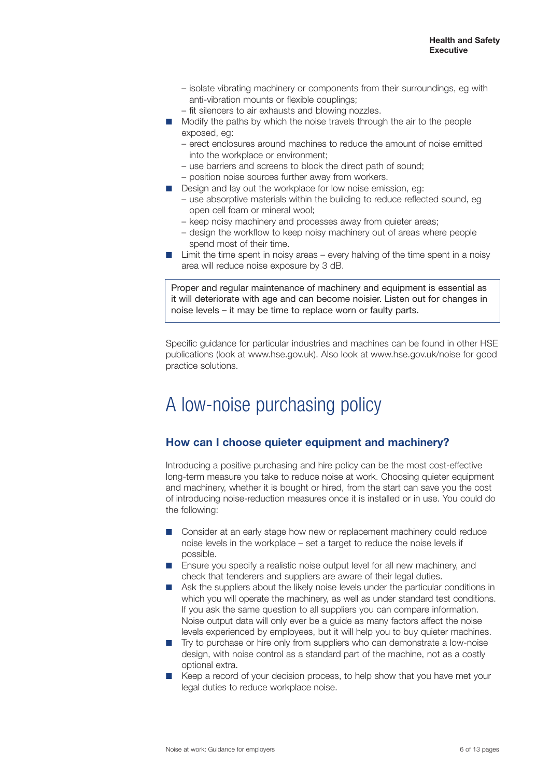- isolate vibrating machinery or components from their surroundings, eg with anti-vibration mounts or flexible couplings;
- fit silencers to air exhausts and blowing nozzles.
- Modify the paths by which the noise travels through the air to the people exposed, eg:
	- erect enclosures around machines to reduce the amount of noise emitted into the workplace or environment;
	- use barriers and screens to block the direct path of sound;
	- position noise sources further away from workers.
- Design and lay out the workplace for low noise emission, eg:
	- use absorptive materials within the building to reduce reflected sound, eg open cell foam or mineral wool;
	- keep noisy machinery and processes away from quieter areas;
	- design the workflow to keep noisy machinery out of areas where people spend most of their time.
- Limit the time spent in noisy areas every halving of the time spent in a noisy area will reduce noise exposure by 3 dB.

Proper and regular maintenance of machinery and equipment is essential as it will deteriorate with age and can become noisier. Listen out for changes in noise levels – it may be time to replace worn or faulty parts.

Specific guidance for particular industries and machines can be found in other HSE publications (look at www.hse.gov.uk). Also look at www.hse.gov.uk/noise for good practice solutions.

### A low-noise purchasing policy

### **How can I choose quieter equipment and machinery?**

Introducing a positive purchasing and hire policy can be the most cost-effective long-term measure you take to reduce noise at work. Choosing quieter equipment and machinery, whether it is bought or hired, from the start can save you the cost of introducing noise-reduction measures once it is installed or in use. You could do the following:

- **■** Consider at an early stage how new or replacement machinery could reduce noise levels in the workplace – set a target to reduce the noise levels if possible.
- Ensure you specify a realistic noise output level for all new machinery, and check that tenderers and suppliers are aware of their legal duties.
- Ask the suppliers about the likely noise levels under the particular conditions in which you will operate the machinery, as well as under standard test conditions. If you ask the same question to all suppliers you can compare information. Noise output data will only ever be a guide as many factors affect the noise levels experienced by employees, but it will help you to buy quieter machines.
- Try to purchase or hire only from suppliers who can demonstrate a low-noise design, with noise control as a standard part of the machine, not as a costly optional extra.
- Keep a record of your decision process, to help show that you have met your legal duties to reduce workplace noise.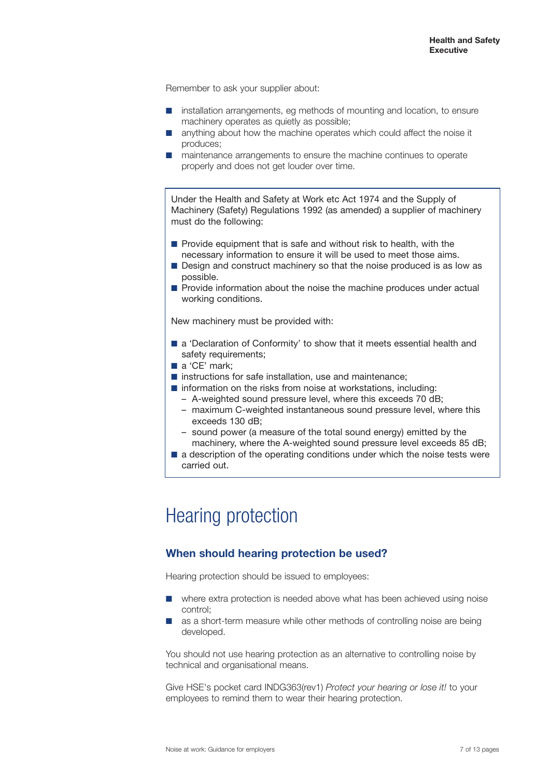Remember to ask your supplier about:

- installation arrangements, eg methods of mounting and location, to ensure machinery operates as quietly as possible;
- anything about how the machine operates which could affect the noise it produces;
- maintenance arrangements to ensure the machine continues to operate properly and does not get louder over time.

Under the Health and Safety at Work etc Act 1974 and the Supply of Machinery (Safety) Regulations 1992 (as amended) a supplier of machinery must do the following:

- Provide equipment that is safe and without risk to health, with the necessary information to ensure it will be used to meet those aims.
- Design and construct machinery so that the noise produced is as low as possible.
- Provide information about the noise the machine produces under actual working conditions.

New machinery must be provided with:

- a 'Declaration of Conformity' to show that it meets essential health and safety requirements;
- a 'CE' mark:
- instructions for safe installation, use and maintenance;
- information on the risks from noise at workstations, including:
	- A-weighted sound pressure level, where this exceeds 70 dB;
	- maximum C-weighted instantaneous sound pressure level, where this exceeds 130 dB;
	- sound power (a measure of the total sound energy) emitted by the machinery, where the A-weighted sound pressure level exceeds 85 dB;
- a description of the operating conditions under which the noise tests were carried out.

### Hearing protection

### **When should hearing protection be used?**

Hearing protection should be issued to employees:

- where extra protection is needed above what has been achieved using noise control;
- as a short-term measure while other methods of controlling noise are being developed.

You should not use hearing protection as an alternative to controlling noise by technical and organisational means.

Give HSE's pocket card INDG363(rev1) *Protect your hearing or lose it!* to your employees to remind them to wear their hearing protection.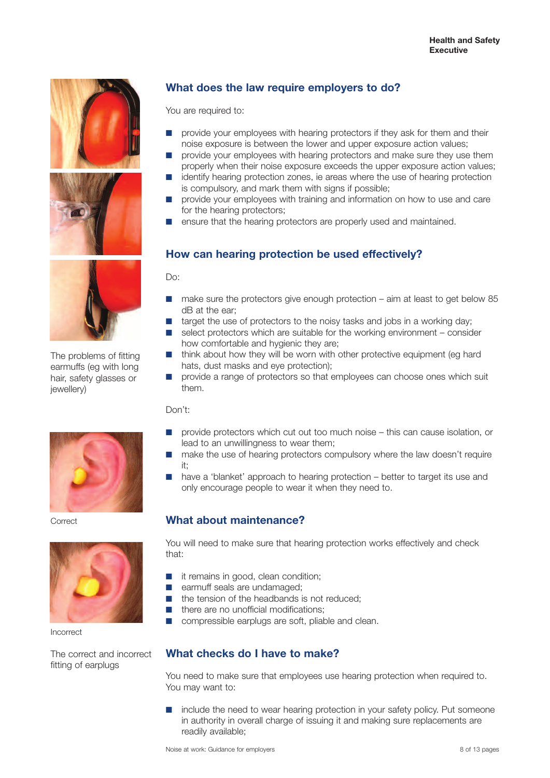



The problems of fitting earmuffs (eg with long hair, safety glasses or jewellery)



**Correct** 



Incorrect

The correct and incorrect fitting of earplugs

### **What does the law require employers to do?**

You are required to:

- provide your employees with hearing protectors if they ask for them and their noise exposure is between the lower and upper exposure action values;
- provide your employees with hearing protectors and make sure they use them properly when their noise exposure exceeds the upper exposure action values; identify hearing protection zones, ie areas where the use of hearing protection
- is compulsory, and mark them with signs if possible;
- **■** provide your employees with training and information on how to use and care for the hearing protectors;
- ensure that the hearing protectors are properly used and maintained.

### **How can hearing protection be used effectively?**

Do:

- make sure the protectors give enough protection aim at least to get below 85 dB at the ear;
- **■** target the use of protectors to the noisy tasks and jobs in a working day;
- **■** select protectors which are suitable for the working environment consider how comfortable and hygienic they are;
- think about how they will be worn with other protective equipment (eg hard hats, dust masks and eye protection);
- provide a range of protectors so that employees can choose ones which suit them.

Don't:

- provide protectors which cut out too much noise this can cause isolation, or lead to an unwillingness to wear them;
- make the use of hearing protectors compulsory where the law doesn't require it;
- have a 'blanket' approach to hearing protection better to target its use and only encourage people to wear it when they need to.

### **What about maintenance?**

You will need to make sure that hearing protection works effectively and check that:

- **■** it remains in good, clean condition;
- earmuff seals are undamaged;
- the tension of the headbands is not reduced:
- **■** there are no unofficial modifications;
- **■** compressible earplugs are soft, pliable and clean.

### **What checks do I have to make?**

You need to make sure that employees use hearing protection when required to. You may want to:

■ include the need to wear hearing protection in your safety policy. Put someone in authority in overall charge of issuing it and making sure replacements are readily available;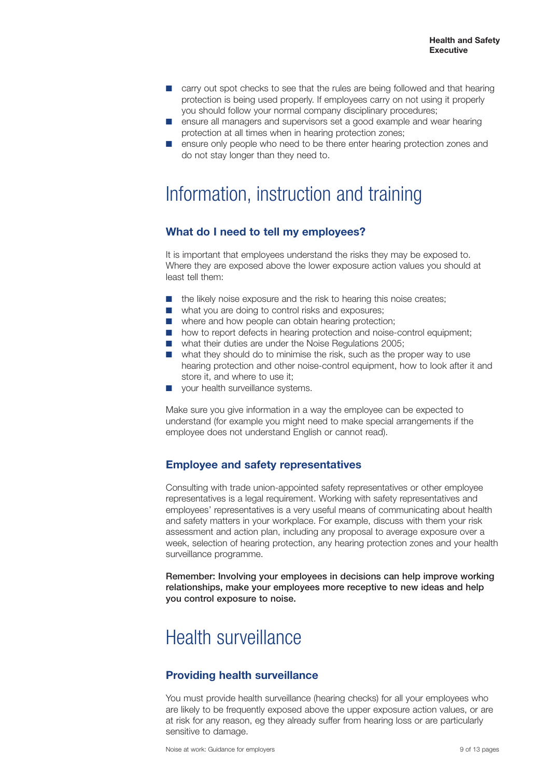- **■** carry out spot checks to see that the rules are being followed and that hearing protection is being used properly. If employees carry on not using it properly you should follow your normal company disciplinary procedures;
- **■** ensure all managers and supervisors set a good example and wear hearing protection at all times when in hearing protection zones;
- ensure only people who need to be there enter hearing protection zones and do not stay longer than they need to.

### Information, instruction and training

### **What do I need to tell my employees?**

It is important that employees understand the risks they may be exposed to. Where they are exposed above the lower exposure action values you should at least tell them:

- the likely noise exposure and the risk to hearing this noise creates:
- what you are doing to control risks and exposures;
- where and how people can obtain hearing protection;
- how to report defects in hearing protection and noise-control equipment:
- what their duties are under the Noise Regulations 2005;
- what they should do to minimise the risk, such as the proper way to use hearing protection and other noise-control equipment, how to look after it and store it, and where to use it;
- **■** your health surveillance systems.

Make sure you give information in a way the employee can be expected to understand (for example you might need to make special arrangements if the employee does not understand English or cannot read).

### **Employee and safety representatives**

Consulting with trade union-appointed safety representatives or other employee representatives is a legal requirement. Working with safety representatives and employees' representatives is a very useful means of communicating about health and safety matters in your workplace. For example, discuss with them your risk assessment and action plan, including any proposal to average exposure over a week, selection of hearing protection, any hearing protection zones and your health surveillance programme.

**Remember: Involving your employees in decisions can help improve working relationships, make your employees more receptive to new ideas and help you control exposure to noise.**

### Health surveillance

### **Providing health surveillance**

You must provide health surveillance (hearing checks) for all your employees who are likely to be frequently exposed above the upper exposure action values, or are at risk for any reason, eg they already suffer from hearing loss or are particularly sensitive to damage.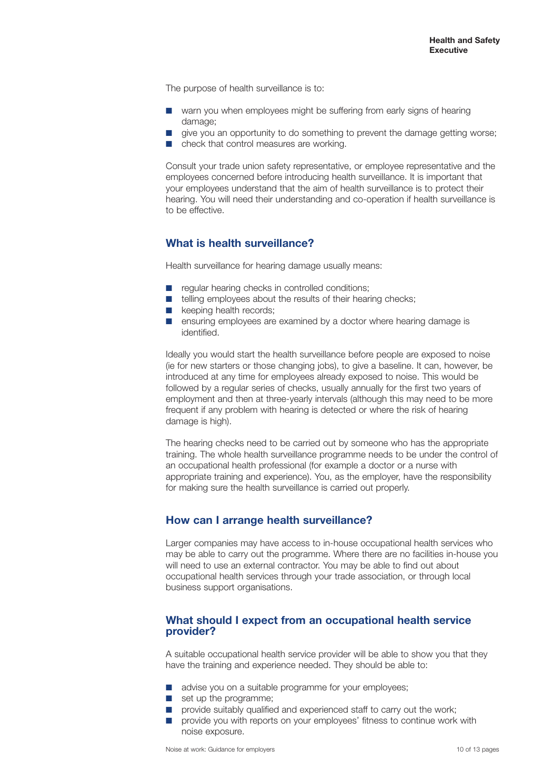The purpose of health surveillance is to:

- warn you when employees might be suffering from early signs of hearing damage:
- give you an opportunity to do something to prevent the damage getting worse;
- check that control measures are working.

Consult your trade union safety representative, or employee representative and the employees concerned before introducing health surveillance. It is important that your employees understand that the aim of health surveillance is to protect their hearing. You will need their understanding and co-operation if health surveillance is to be effective.

### **What is health surveillance?**

Health surveillance for hearing damage usually means:

- regular hearing checks in controlled conditions:
- telling employees about the results of their hearing checks:
- **■** keeping health records:
- ensuring employees are examined by a doctor where hearing damage is identified.

Ideally you would start the health surveillance before people are exposed to noise (ie for new starters or those changing jobs), to give a baseline. It can, however, be introduced at any time for employees already exposed to noise. This would be followed by a regular series of checks, usually annually for the first two years of employment and then at three-yearly intervals (although this may need to be more frequent if any problem with hearing is detected or where the risk of hearing damage is high).

The hearing checks need to be carried out by someone who has the appropriate training. The whole health surveillance programme needs to be under the control of an occupational health professional (for example a doctor or a nurse with appropriate training and experience). You, as the employer, have the responsibility for making sure the health surveillance is carried out properly.

### **How can I arrange health surveillance?**

Larger companies may have access to in-house occupational health services who may be able to carry out the programme. Where there are no facilities in-house you will need to use an external contractor. You may be able to find out about occupational health services through your trade association, or through local business support organisations.

#### **What should I expect from an occupational health service provider?**

A suitable occupational health service provider will be able to show you that they have the training and experience needed. They should be able to:

- advise you on a suitable programme for your employees;
- **■** set up the programme;
- provide suitably qualified and experienced staff to carry out the work;
- **■** provide you with reports on your employees' fitness to continue work with noise exposure.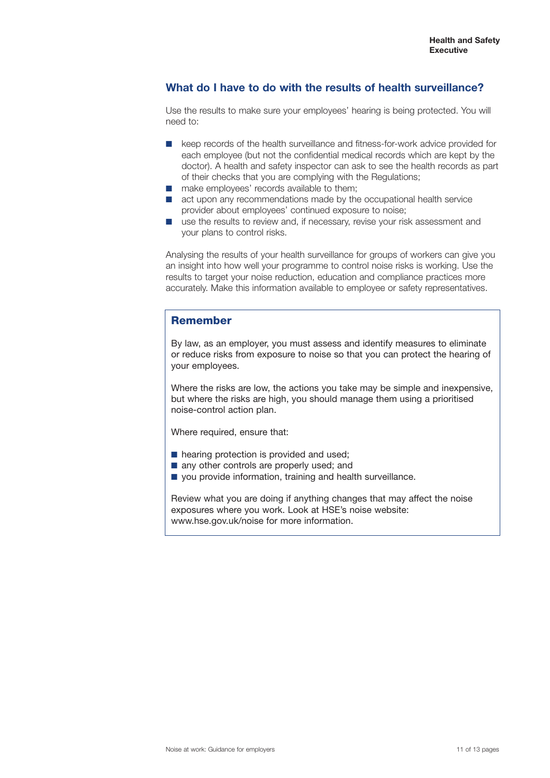### **What do I have to do with the results of health surveillance?**

Use the results to make sure your employees' hearing is being protected. You will need to:

- keep records of the health surveillance and fitness-for-work advice provided for each employee (but not the confidential medical records which are kept by the doctor). A health and safety inspector can ask to see the health records as part of their checks that you are complying with the Regulations;
- make employees' records available to them:
- act upon any recommendations made by the occupational health service provider about employees' continued exposure to noise;
- **■** use the results to review and, if necessary, revise your risk assessment and your plans to control risks.

Analysing the results of your health surveillance for groups of workers can give you an insight into how well your programme to control noise risks is working. Use the results to target your noise reduction, education and compliance practices more accurately. Make this information available to employee or safety representatives.

### **Remember**

By law, as an employer, you must assess and identify measures to eliminate or reduce risks from exposure to noise so that you can protect the hearing of your employees.

Where the risks are low, the actions you take may be simple and inexpensive, but where the risks are high, you should manage them using a prioritised noise-control action plan.

Where required, ensure that:

- hearing protection is provided and used;
- any other controls are properly used; and
- you provide information, training and health surveillance.

Review what you are doing if anything changes that may affect the noise exposures where you work. Look at HSE's noise website: www.hse.gov.uk/noise for more information.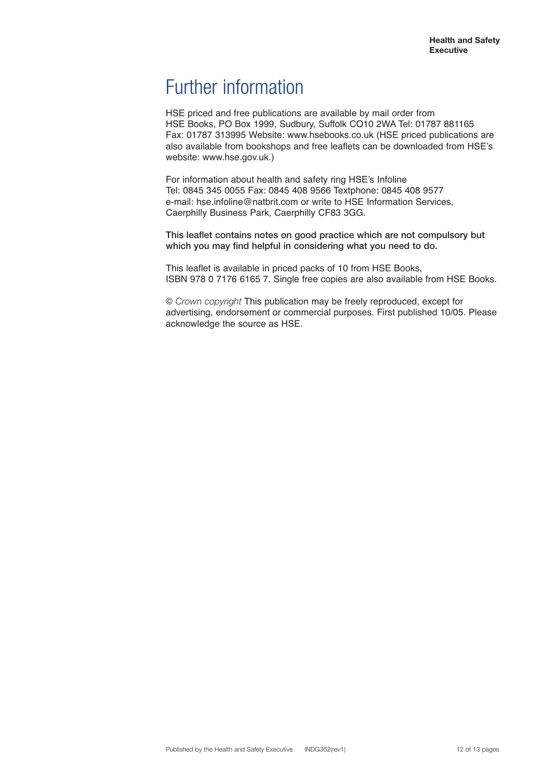### Further information

HSE priced and free publications are available by mail order from HSE Books, PO Box 1999, Sudbury, Suffolk CO10 2WA Tel: 01787 881165 Fax: 01787 313995 Website: www.hsebooks.co.uk (HSE priced publications are also available from bookshops and free leaflets can be downloaded from HSE's website: www.hse.gov.uk.)

For information about health and safety ring HSE's Infoline Tel: 0845 345 0055 Fax: 0845 408 9566 Textphone: 0845 408 9577 e-mail: hse.infoline@natbrit.com or write to HSE Information Services, Caerphilly Business Park, Caerphilly CF83 3GG.

**This leaflet contains notes on good practice which are not compulsory but which you may find helpful in considering what you need to do.**

This leaflet is available in priced packs of 10 from HSE Books, ISBN 978 0 7176 6165 7. Single free copies are also available from HSE Books.

© *Crown copyright* This publication may be freely reproduced, except for advertising, endorsement or commercial purposes. First published 10/05. Please acknowledge the source as HSE.